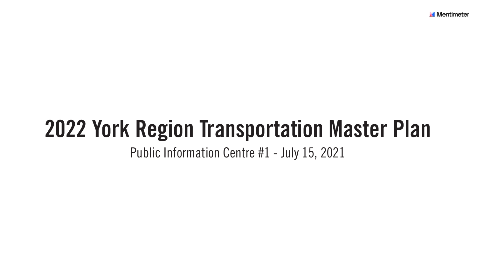## 2022 York Region Transportation Master Plan Public Information Centre #1 - July 15, 2021

**Mentimeter**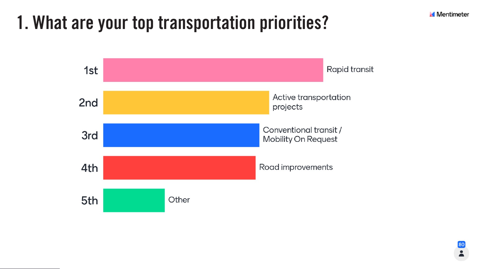## 1. What are your top transportation priorities?



**Mentimeter** 

Rapid transit

Active transportation projects

Conventional transit / **Mobility On Request** 

Road improvements



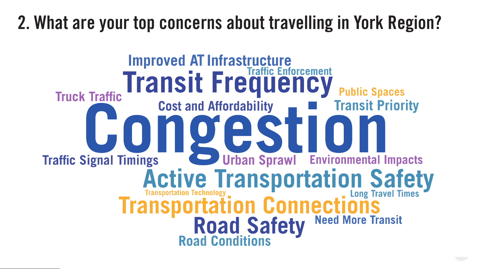## 2. What are your top concerns about travelling in York Region?

#### Improved AT Infrastructure<br>
Transit Frequency **Public Spaces Truck Traffic Cost and Affordability Transit Priority** QTESTI Urban Sprawl Environmental Impacts **Traffic Signal Timings** Active Transportation Safety **Road Safety Need More Transit<br>Road Conditions**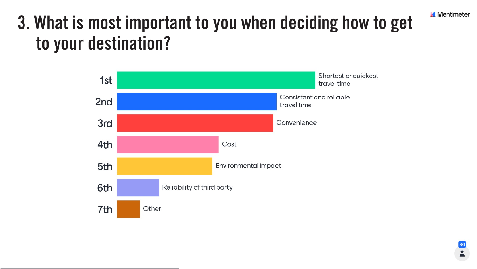### 3. What is most important to you when deciding how to get to your destination?





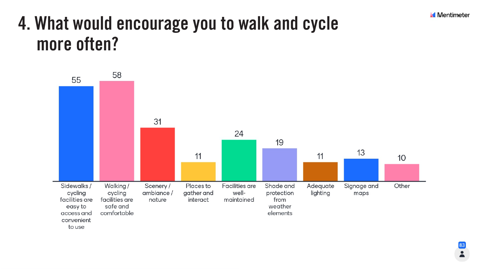### 4. What would encourage you to walk and cycle more often?





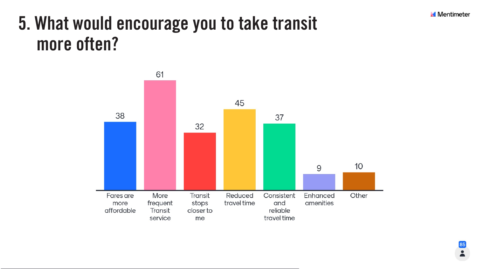### 5. What would encourage you to take transit more often?



**Mentimeter** 

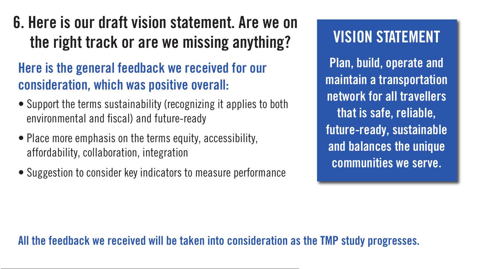Plan, build, operate and maintain a transportation network for all travellers that is safe, reliable, future-ready, sustainable and balances the unique communities we serve.



#### All the feedback we received will be taken into consideration as the TMP study progresses.

## 6. Here is our draft vision statement. Are we on the right track or are we missing anything? Here is the general feedback we received for our

# consideration, which was positive overall:

- Support the terms sustainability (recognizing it applies to both environmental and fiscal) and future-ready
- Place more emphasis on the terms equity, accessibility, affordability, collaboration, integration
- Suggestion to consider key indicators to measure performance

#### VISION STATEMENT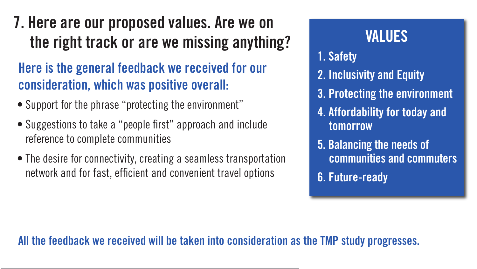## 7. Here are our proposed values. Are we on the right track or are we missing anything? Here is the general feedback we received for our

# consideration, which was positive overall:

- Support for the phrase "protecting the environment"
- Suggestions to take a "people first" approach and include reference to complete communities
- The desire for connectivity, creating a seamless transportation network and for fast, efficient and convenient travel options

#### All the feedback we received will be taken into consideration as the TMP study progresses.

- 1. Safety
- 2. Inclusivity and Equity
- 3. Protecting the environment
- 4. Affordability for today and tomorrow
- 5. Balancing the needs of communities and commuters 6. Future-ready



#### VALUES